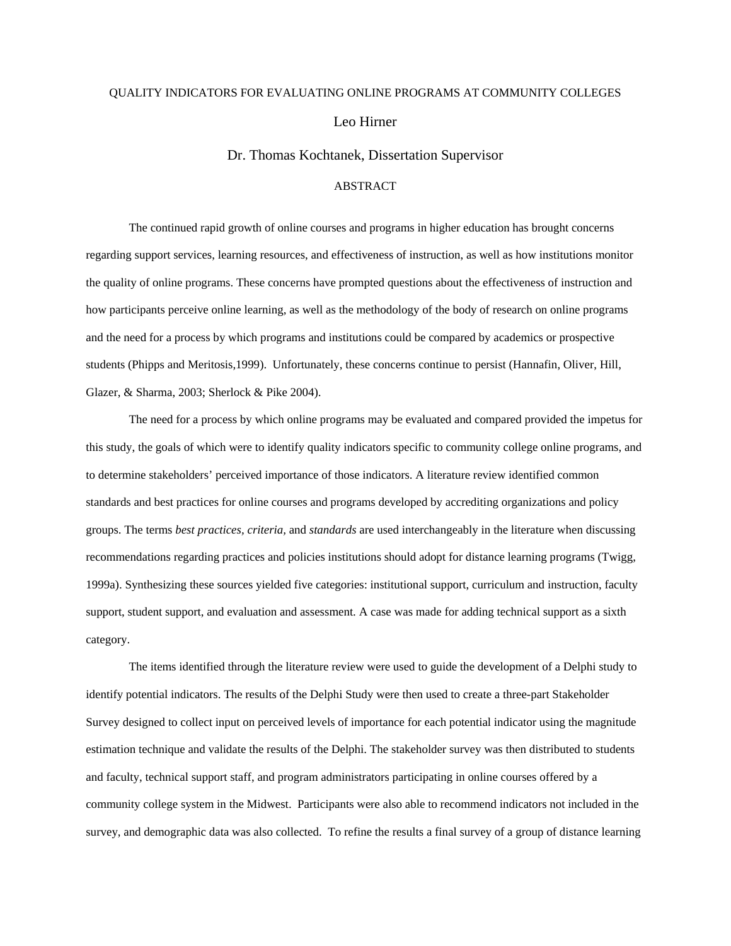## QUALITY INDICATORS FOR EVALUATING ONLINE PROGRAMS AT COMMUNITY COLLEGES Leo Hirner

Dr. Thomas Kochtanek, Dissertation Supervisor

## ABSTRACT

The continued rapid growth of online courses and programs in higher education has brought concerns regarding support services, learning resources, and effectiveness of instruction, as well as how institutions monitor the quality of online programs. These concerns have prompted questions about the effectiveness of instruction and how participants perceive online learning, as well as the methodology of the body of research on online programs and the need for a process by which programs and institutions could be compared by academics or prospective students (Phipps and Meritosis,1999). Unfortunately, these concerns continue to persist (Hannafin, Oliver, Hill, Glazer, & Sharma, 2003; Sherlock & Pike 2004).

The need for a process by which online programs may be evaluated and compared provided the impetus for this study, the goals of which were to identify quality indicators specific to community college online programs, and to determine stakeholders' perceived importance of those indicators. A literature review identified common standards and best practices for online courses and programs developed by accrediting organizations and policy groups. The terms *best practices, criteria,* and *standards* are used interchangeably in the literature when discussing recommendations regarding practices and policies institutions should adopt for distance learning programs (Twigg, 1999a). Synthesizing these sources yielded five categories: institutional support, curriculum and instruction, faculty support, student support, and evaluation and assessment. A case was made for adding technical support as a sixth category.

The items identified through the literature review were used to guide the development of a Delphi study to identify potential indicators. The results of the Delphi Study were then used to create a three-part Stakeholder Survey designed to collect input on perceived levels of importance for each potential indicator using the magnitude estimation technique and validate the results of the Delphi. The stakeholder survey was then distributed to students and faculty, technical support staff, and program administrators participating in online courses offered by a community college system in the Midwest. Participants were also able to recommend indicators not included in the survey, and demographic data was also collected. To refine the results a final survey of a group of distance learning